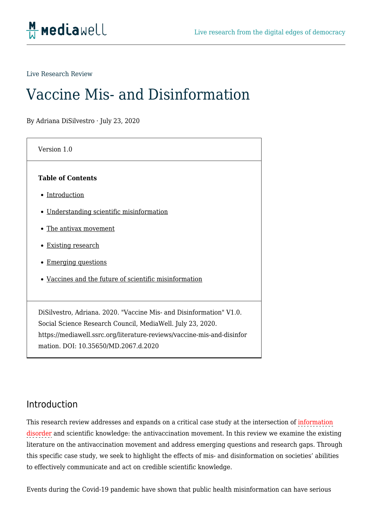

Live Research Review

# Vaccine Mis- and Disinformation

By Adriana DiSilvestro · July 23, 2020

| Version 1.0                                                                                                                                                                                                 |
|-------------------------------------------------------------------------------------------------------------------------------------------------------------------------------------------------------------|
| <b>Table of Contents</b>                                                                                                                                                                                    |
| • Introduction                                                                                                                                                                                              |
| • Understanding scientific misinformation                                                                                                                                                                   |
| • The antivax movement                                                                                                                                                                                      |
| <b>Existing research</b>                                                                                                                                                                                    |
| • Emerging questions                                                                                                                                                                                        |
| • Vaccines and the future of scientific misinformation                                                                                                                                                      |
|                                                                                                                                                                                                             |
| DiSilvestro, Adriana. 2020. "Vaccine Mis- and Disinformation" V1.0.<br>Social Science Research Council, MediaWell. July 23, 2020.<br>https://mediawell.ssrc.org/literature-reviews/vaccine-mis-and-disinfor |
| mation. DOI: 10.35650/MD.2067.d.2020                                                                                                                                                                        |

#### Introduction

This research review addresses and expands on a critical case study at the intersection of information disorder and scientific knowledge: the antivaccination movement. In this review we examine the existing literature on the antivaccination movement and address emerging questions and research gaps. Through this specific case study, we seek to highlight the effects of mis- and disinformation on societies' abilities to effectively communicate and act on credible scientific knowledge.

Events during the Covid-19 pandemic have shown that public health misinformation can have serious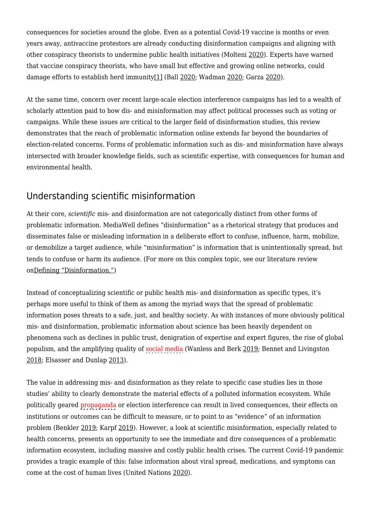consequences for societies around the globe. Even as a potential Covid-19 vaccine is months or even years away, antivaccine protestors are already conducting disinformation campaigns and aligning with other conspiracy theorists to undermine public health initiatives (Molteni [2020](https://mediawell.ssrc.org/citation/an-army-of-volunteers-is-taking-on-vaccine-disinformation-online/)). Experts have warned that vaccine conspiracy theorists, who have small but effective and growing online networks, could damage efforts to establish herd immunity[\[1\]](https://mediawell.ssrc.org/applewebdata://25930FC0-FF80-4577-AD38-ADABA883592A#_ftn1) (Ball [2020](https://mediawell.ssrc.org/citation/anti-vaccine-movement-could-undermine-efforts-to-end-coronavirus-pandemic-researchers-warn/); Wadman [2020;](https://mediawell.ssrc.org/citation/antivaccine-forces-gaining-online/) Garza [2020](https://mediawell.ssrc.org/citation/opinion-trump-is-handing-anti-vaxxers-an-invitation-to-smear-coronavirus-vaccines/)).

At the same time, concern over recent large-scale election interference campaigns has led to a wealth of scholarly attention paid to how dis- and misinformation may affect political processes such as voting or campaigns. While these issues are critical to the larger field of disinformation studies, this review demonstrates that the reach of problematic information online extends far beyond the boundaries of election-related concerns. Forms of problematic information such as dis- and misinformation have always intersected with broader knowledge fields, such as scientific expertise, with consequences for human and environmental health.

## Understanding scientific misinformation

At their core, *scientific* mis- and disinformation are not categorically distinct from other forms of problematic information. MediaWell defines "disinformation" as a rhetorical strategy that produces and disseminates false or misleading information in a deliberate effort to confuse, influence, harm, mobilize, or demobilize a target audience, while "misinformation" is information that is unintentionally spread, but tends to confuse or harm its audience. (For more on this complex topic, see our literature review o[nDefining "Disinformation."](https://mediawell.ssrc.org/literature-reviews/defining-disinformation/))

Instead of conceptualizing scientific or public health mis- and disinformation as specific types, it's perhaps more useful to think of them as among the myriad ways that the spread of problematic information poses threats to a safe, just, and healthy society. As with instances of more obviously political mis- and disinformation, problematic information about science has been heavily dependent on phenomena such as declines in public trust, denigration of expertise and expert figures, the rise of global populism, and the amplifying quality of social media (Wanless and Berk [2019](https://mediawell.ssrc.org/citation/the-audience-is-the-amplifier-participatory-propaganda/); Bennet and Livingston [2018;](https://mediawell.ssrc.org/citation/the-disinformation-order-disruptive-communication-and-the-decline-of-democratic-institutions/) Elsasser and Dunlap [2013](https://mediawell.ssrc.org/citation/leading-voices-in-the-denier-choir-conservative-columnists-dismissal-of-global-warming-and-denigration-of-climate-science/)).

The value in addressing mis- and disinformation as they relate to specific case studies lies in those studies' ability to clearly demonstrate the material effects of a polluted information ecosystem. While politically geared propaganda or election interference can result in lived consequences, their effects on institutions or outcomes can be difficult to measure, or to point to as "evidence" of an information problem (Benkler [2019;](https://mediawell.ssrc.org/expert-reflections/cautionary-notes-on-disinformation-benkler/) Karpf [2019\)](https://mediawell.ssrc.org/expert-reflections/on-digital-disinformation-and-democratic-myths/). However, a look at scientific misinformation, especially related to health concerns, presents an opportunity to see the immediate and dire consequences of a problematic information ecosystem, including massive and costly public health crises. The current Covid-19 pandemic provides a tragic example of this: false information about viral spread, medications, and symptoms can come at the cost of human lives (United Nations [2020\)](https://mediawell.ssrc.org/citation/during-this-coronavirus-pandemic-fake-news-is-putting-lives-at-risk-unesco/).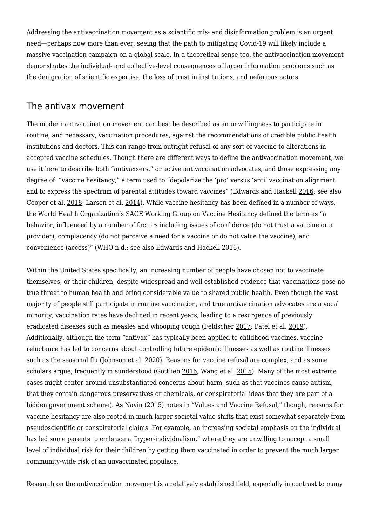Addressing the antivaccination movement as a scientific mis- and disinformation problem is an urgent need—perhaps now more than ever, seeing that the path to mitigating Covid-19 will likely include a massive vaccination campaign on a global scale. In a theoretical sense too, the antivaccination movement demonstrates the individual- and collective-level consequences of larger information problems such as the denigration of scientific expertise, the loss of trust in institutions, and nefarious actors.

#### The antivax movement

The modern antivaccination movement can best be described as an unwillingness to participate in routine, and necessary, vaccination procedures, against the recommendations of credible public health institutions and doctors. This can range from outright refusal of any sort of vaccine to alterations in accepted vaccine schedules. Though there are different ways to define the antivaccination movement, we use it here to describe both "antivaxxers," or active antivaccination advocates, and those expressing any degree of "vaccine hesitancy," a term used to "depolarize the 'pro' versus 'anti' vaccination alignment and to express the spectrum of parental attitudes toward vaccines" (Edwards and Hackell [2016;](https://mediawell.ssrc.org/citation/countering-vaccine-hesitancy/) see also Cooper et al. [2018](https://mediawell.ssrc.org/citation/vaccine-hesitancy-a-potential-threat-to-the-achievements-of-vaccination-programmes-in-africa/); Larson et al. [2014\)](https://mediawell.ssrc.org/citation/understanding-vaccine-hesitancy-around-vaccines-and-vaccination-from-a-global-perspective-a-systematic-review-of-published-literature-2007-2012/). While vaccine hesitancy has been defined in a number of ways, the World Health Organization's SAGE Working Group on Vaccine Hesitancy defined the term as "a behavior, influenced by a number of factors including issues of confidence (do not trust a vaccine or a provider), complacency (do not perceive a need for a vaccine or do not value the vaccine), and convenience (access)" (WHO n.d.; see also Edwards and Hackell 2016).

Within the United States specifically, an increasing number of people have chosen not to vaccinate themselves, or their children, despite widespread and well-established evidence that vaccinations pose no true threat to human health and bring considerable value to shared public health. Even though the vast majority of people still participate in routine vaccination, and true antivaccination advocates are a vocal minority, vaccination rates have declined in recent years, leading to a resurgence of previously eradicated diseases such as measles and whooping cough (Feldscher [2017](https://mediawell.ssrc.org/citation/increase-in-pertussis-outbreaks-linked-with-vaccine-exemptions-waning-immunity/); Patel et al. [2019\)](https://mediawell.ssrc.org/citation/increase-in-measles-cases-united-states-january-1-april-26-2019/). Additionally, although the term "antivax" has typically been applied to childhood vaccines, vaccine reluctance has led to concerns about controlling future epidemic illnesses as well as routine illnesses such as the seasonal flu (Johnson et al. [2020\)](https://mediawell.ssrc.org/citation/the-online-competition-between-pro-and-anti-vaccination-views/). Reasons for vaccine refusal are complex, and as some scholars argue, frequently misunderstood (Gottlieb [2016](https://mediawell.ssrc.org/citation/vaccine-resistances-reconsidered-vaccine-skeptics-and-the-jenny-mccarthy-effect/); Wang et al. [2015](https://mediawell.ssrc.org/citation/everybody-just-wants-to-do-whats-best-for-their-child-understanding-how-pro-vaccine-parents-can-support-a-culture-of-vaccine-hesitancy/)). Many of the most extreme cases might center around unsubstantiated concerns about harm, such as that vaccines cause autism, that they contain dangerous preservatives or chemicals, or conspiratorial ideas that they are part of a hidden government scheme). As Navin ([2015\)](https://mediawell.ssrc.org/citation/values-and-vaccine-refusal-hard-questions-in-ethics-epistemology-and-health-care/) notes in "Values and Vaccine Refusal," though, reasons for vaccine hesitancy are also rooted in much larger societal value shifts that exist somewhat separately from pseudoscientific or conspiratorial claims. For example, an increasing societal emphasis on the individual has led some parents to embrace a "hyper-individualism," where they are unwilling to accept a small level of individual risk for their children by getting them vaccinated in order to prevent the much larger community-wide risk of an unvaccinated populace.

Research on the antivaccination movement is a relatively established field, especially in contrast to many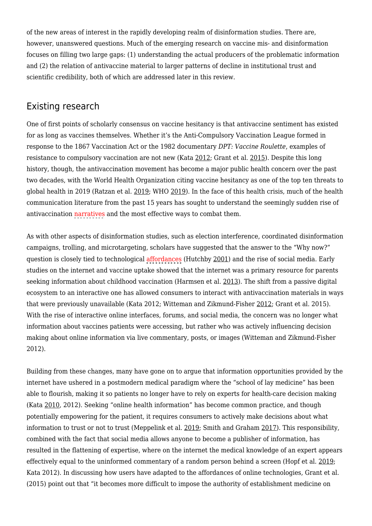of the new areas of interest in the rapidly developing realm of disinformation studies. There are, however, unanswered questions. Much of the emerging research on vaccine mis- and disinformation focuses on filling two large gaps: (1) understanding the actual producers of the problematic information and (2) the relation of antivaccine material to larger patterns of decline in institutional trust and scientific credibility, both of which are addressed later in this review.

### Existing research

One of first points of scholarly consensus on vaccine hesitancy is that antivaccine sentiment has existed for as long as vaccines themselves. Whether it's the Anti-Compulsory Vaccination League formed in response to the 1867 Vaccination Act or the 1982 documentary *DPT: Vaccine Roulette*, examples of resistance to compulsory vaccination are not new (Kata [2012](https://mediawell.ssrc.org/citation/anti-vaccine-activists-web-2-0-and-the-postmodern-paradigm-an-overview-of-tactics-and-tropes-used-online-by-the-anti-vaccination-movement-2/); Grant et al. [2015](https://mediawell.ssrc.org/citation/vaccination-persuasion-online-a-qualitative-study-of-two-provaccine-and-two-vaccine-skeptical-websites/)). Despite this long history, though, the antivaccination movement has become a major public health concern over the past two decades, with the World Health Organization citing vaccine hesitancy as one of the top ten threats to global health in 2019 (Ratzan et al. [2019](https://mediawell.ssrc.org/citation/the-salzburg-statement-on-vaccination-acceptance/); WHO [2019](https://mediawell.ssrc.org/citation/ten-health-issues-who-will-tackle-this-year/)). In the face of this health crisis, much of the health communication literature from the past 15 years has sought to understand the seemingly sudden rise of antivaccination narratives and the most effective ways to combat them.

As with other aspects of disinformation studies, such as election interference, coordinated disinformation campaigns, trolling, and microtargeting, scholars have suggested that the answer to the "Why now?" question is closely tied to technological affordances (Hutchby [2001](https://mediawell.ssrc.org/citation/technologies-texts-and-affordances/)) and the rise of social media. Early studies on the internet and vaccine uptake showed that the internet was a primary resource for parents seeking information about childhood vaccination (Harmsen et al. [2013](https://mediawell.ssrc.org/citation/parental-information-seeking-behaviour-in-childhood-vaccinations/)). The shift from a passive digital ecosystem to an interactive one has allowed consumers to interact with antivaccination materials in ways that were previously unavailable (Kata 2012; Witteman and Zikmund-Fisher [2012;](https://mediawell.ssrc.org/citation/the-defining-characteristics-of-web-2-0-and-their-potential-influence-in-the-online-vaccination-debate/) Grant et al. 2015). With the rise of interactive online interfaces, forums, and social media, the concern was no longer what information about vaccines patients were accessing, but rather who was actively influencing decision making about online information via live commentary, posts, or images (Witteman and Zikmund-Fisher 2012).

Building from these changes, many have gone on to argue that information opportunities provided by the internet have ushered in a postmodern medical paradigm where the "school of lay medicine" has been able to flourish, making it so patients no longer have to rely on experts for health-care decision making (Kata [2010](https://mediawell.ssrc.org/citation/a-postmodern-pandoras-box-anti-vaccination-misinformation-on-the-internet-2/), 2012). Seeking "online health information" has become common practice, and though potentially empowering for the patient, it requires consumers to actively make decisions about what information to trust or not to trust (Meppelink et al. [2019;](https://mediawell.ssrc.org/citation/i-was-right-about-vaccination-confirmation-bias-and-health-literacy-in-online-health-information-seeking/) Smith and Graham [2017\)](https://mediawell.ssrc.org/citation/mapping-the-anti-vaccination-movement-on-facebook/). This responsibility, combined with the fact that social media allows anyone to become a publisher of information, has resulted in the flattening of expertise, where on the internet the medical knowledge of an expert appears effectively equal to the uninformed commentary of a random person behind a screen (Hopf et al. [2019](https://mediawell.ssrc.org/citation/fake-science-and-the-knowledge-crisis-ignorance-can-be-fatal/); Kata 2012). In discussing how users have adapted to the affordances of online technologies, Grant et al. (2015) point out that "it becomes more difficult to impose the authority of establishment medicine on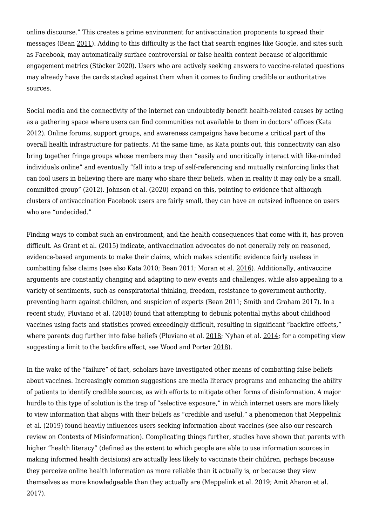online discourse." This creates a prime environment for antivaccination proponents to spread their messages (Bean [2011\)](https://mediawell.ssrc.org/citation/emerging-and-continuing-trends-in-vaccine-opposition-website-content/). Adding to this difficulty is the fact that search engines like Google, and sites such as Facebook, may automatically surface controversial or false health content because of algorithmic engagement metrics (Stöcker [2020\)](https://mediawell.ssrc.org/citation/how-facebook-and-google-accidentally-created-a-perfect-ecosystem-for-targeted-disinformation/). Users who are actively seeking answers to vaccine-related questions may already have the cards stacked against them when it comes to finding credible or authoritative sources.

Social media and the connectivity of the internet can undoubtedly benefit health-related causes by acting as a gathering space where users can find communities not available to them in doctors' offices (Kata 2012). Online forums, support groups, and awareness campaigns have become a critical part of the overall health infrastructure for patients. At the same time, as Kata points out, this connectivity can also bring together fringe groups whose members may then "easily and uncritically interact with like-minded individuals online" and eventually "fall into a trap of self-referencing and mutually reinforcing links that can fool users in believing there are many who share their beliefs, when in reality it may only be a small, committed group" (2012). Johnson et al. (2020) expand on this, pointing to evidence that although clusters of antivaccination Facebook users are fairly small, they can have an outsized influence on users who are "undecided."

Finding ways to combat such an environment, and the health consequences that come with it, has proven difficult. As Grant et al. (2015) indicate, antivaccination advocates do not generally rely on reasoned, evidence-based arguments to make their claims, which makes scientific evidence fairly useless in combatting false claims (see also Kata 2010; Bean 2011; Moran et al. [2016\)](https://mediawell.ssrc.org/citation/what-makes-anti-vaccine-websites-persuasive-a-content-analysis-of-techniques-used-by-anti-vaccine-websites-to-engender-anti-vaccine-sentiment/). Additionally, antivaccine arguments are constantly changing and adapting to new events and challenges, while also appealing to a variety of sentiments, such as conspiratorial thinking, freedom, resistance to government authority, preventing harm against children, and suspicion of experts (Bean 2011; Smith and Graham 2017). In a recent study, Pluviano et al. (2018) found that attempting to debunk potential myths about childhood vaccines using facts and statistics proved exceedingly difficult, resulting in significant "backfire effects," where parents dug further into false beliefs (Pluviano et al. [2018;](https://mediawell.ssrc.org/citation/parents-beliefs-in-misinformation-about-vaccines-are-strengthened-by-pro-vaccine-campaigns/) Nyhan et al. [2014;](https://mediawell.ssrc.org/citation/effective-messages-in-vaccine-promotion-a-randomized-trial-2/) for a competing view suggesting a limit to the backfire effect, see Wood and Porter [2018](https://mediawell.ssrc.org/citation/the-elusive-backfire-effect-mass-attitudes-steadfast-factual-adherence-2/)).

In the wake of the "failure" of fact, scholars have investigated other means of combatting false beliefs about vaccines. Increasingly common suggestions are media literacy programs and enhancing the ability of patients to identify credible sources, as with efforts to mitigate other forms of disinformation. A major hurdle to this type of solution is the trap of "selective exposure," in which internet users are more likely to view information that aligns with their beliefs as "credible and useful," a phenomenon that Meppelink et al. (2019) found heavily influences users seeking information about vaccines (see also our research review on [Contexts of Misinformation](https://mediawell.ssrc.org/literature-reviews/contexts-of-misinformation/)). Complicating things further, studies have shown that parents with higher "health literacy" (defined as the extent to which people are able to use information sources in making informed health decisions) are actually less likely to vaccinate their children, perhaps because they perceive online health information as more reliable than it actually is, or because they view themselves as more knowledgeable than they actually are (Meppelink et al. 2019; Amit Aharon et al. [2017\)](https://mediawell.ssrc.org/citation/parents-with-high-levels-of-communicative-and-critical-health-literacy-are-less-likely-to-vaccinate-their-children/).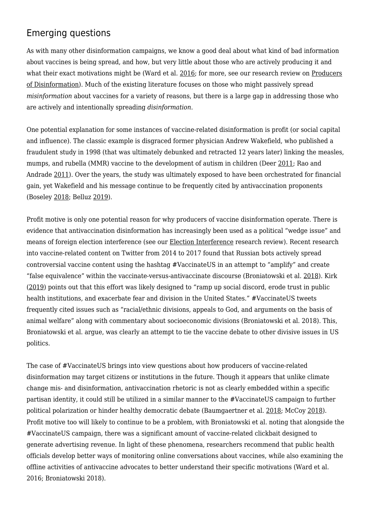# Emerging questions

As with many other disinformation campaigns, we know a good deal about what kind of bad information about vaccines is being spread, and how, but very little about those who are actively producing it and what their exact motivations might be (Ward et al. [2016;](https://mediawell.ssrc.org/citation/vaccine-criticism-on-the-internet-propositions-for-future-research/) for more, see our research review on [Producers](https://mediawell.ssrc.org/literature-reviews/producers-of-disinformation/) [of Disinformation](https://mediawell.ssrc.org/literature-reviews/producers-of-disinformation/)). Much of the existing literature focuses on those who might passively spread *misinformation* about vaccines for a variety of reasons, but there is a large gap in addressing those who are actively and intentionally spreading *disinformation*.

One potential explanation for some instances of vaccine-related disinformation is profit (or social capital and influence). The classic example is disgraced former physician Andrew Wakefield, who published a fraudulent study in 1998 (that was ultimately debunked and retracted 12 years later) linking the measles, mumps, and rubella (MMR) vaccine to the development of autism in children (Deer [2011](https://mediawell.ssrc.org/citation/how-the-case-against-the-mmr-vaccine-was-fixed/); Rao and Andrade [2011](https://mediawell.ssrc.org/citation/the-mmr-vaccine-and-autism-sensation-refutation-retraction-and-fraud/)). Over the years, the study was ultimately exposed to have been orchestrated for financial gain, yet Wakefield and his message continue to be frequently cited by antivaccination proponents (Boseley [2018](https://mediawell.ssrc.org/citation/how-disgraced-anti-vaxxer-andrew-wakefield-was-embraced-by-trumps-america/); Belluz [2019](https://mediawell.ssrc.org/citation/research-fraud-catalyzed-the-anti-vaccination-movement-lets-not-repeat-history/)).

Profit motive is only one potential reason for why producers of vaccine disinformation operate. There is evidence that antivaccination disinformation has increasingly been used as a political "wedge issue" and means of foreign election interference (see our [Election Interference](https://mediawell.ssrc.org/literature-reviews/election-interference/) research review). Recent research into vaccine-related content on Twitter from 2014 to 2017 found that Russian bots actively spread controversial vaccine content using the hashtag #VaccinateUS in an attempt to "amplify" and create "false equivalence" within the vaccinate-versus-antivaccinate discourse (Broniatowski et al. [2018\)](https://mediawell.ssrc.org/citation/weaponized-health-communication-twitter-bots-and-russian-trolls-amplify-the-vaccine-debate-2/). Kirk [\(2019](https://mediawell.ssrc.org/citation/how-russia-sows-confusion-in-the-u-s-vaccine-debate/)) points out that this effort was likely designed to "ramp up social discord, erode trust in public health institutions, and exacerbate fear and division in the United States." #VaccinateUS tweets frequently cited issues such as "racial/ethnic divisions, appeals to God, and arguments on the basis of animal welfare" along with commentary about socioeconomic divisions (Broniatowski et al. 2018). This, Broniatowski et al. argue, was clearly an attempt to tie the vaccine debate to other divisive issues in US politics.

The case of #VaccinateUS brings into view questions about how producers of vaccine-related disinformation may target citizens or institutions in the future. Though it appears that unlike climate change mis- and disinformation, antivaccination rhetoric is not as clearly embedded within a specific partisan identity, it could still be utilized in a similar manner to the #VaccinateUS campaign to further political polarization or hinder healthy democratic debate (Baumgaertner et al. [2018;](https://mediawell.ssrc.org/citation/the-influence-of-political-ideology-and-trust-on-willingness-to-vaccinate/) McCoy [2018](https://mediawell.ssrc.org/citation/the-social-characteristics-of-americans-opposed-to-vaccination-beliefs-about-vaccine-safety-versus-views-of-u-s-vaccination-policy/)). Profit motive too will likely to continue to be a problem, with Broniatowski et al. noting that alongside the #VaccinateUS campaign, there was a significant amount of vaccine-related clickbait designed to generate advertising revenue. In light of these phenomena, researchers recommend that public health officials develop better ways of monitoring online conversations about vaccines, while also examining the offline activities of antivaccine advocates to better understand their specific motivations (Ward et al. 2016; Broniatowski 2018).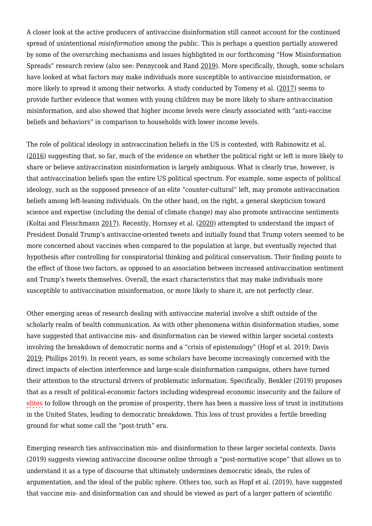A closer look at the active producers of antivaccine disinformation still cannot account for the continued spread of unintentional *misinformation* among the public. This is perhaps a question partially answered by some of the overarching mechanisms and issues highlighted in our forthcoming "How Misinformation Spreads" research review (also see: Pennycook and Rand [2019](https://mediawell.ssrc.org/citation/why-do-people-fall-for-fake-news/)). More specifically, though, some scholars have looked at what factors may make individuals more susceptible to antivaccine misinformation, or more likely to spread it among their networks. A study conducted by Tomeny et al. ([2017\)](https://mediawell.ssrc.org/citation/geographic-and-demographic-correlates-of-autism-related-anti-vaccine-beliefs-on-twitter-2009-15/) seems to provide further evidence that women with young children may be more likely to share antivaccination misinformation, and also showed that higher income levels were clearly associated with "anti-vaccine beliefs and behaviors" in comparison to households with lower income levels.

The role of political ideology in antivaccination beliefs in the US is contested, with Rabinowitz et al. [\(2016](https://mediawell.ssrc.org/citation/beliefs-about-childhood-vaccination-in-the-united-states-political-ideology-false-consensus-and-the-illusion-of-uniqueness/)) suggesting that, so far, much of the evidence on whether the political right or left is more likely to share or believe antivaccination misinformation is largely ambiguous. What is clearly true, however, is that antivaccination beliefs span the entire US political spectrum. For example, some aspects of political ideology, such as the supposed presence of an elite "counter-cultural" left, may promote antivaccination beliefs among left-leaning individuals. On the other hand, on the right, a general skepticism toward science and expertise (including the denial of climate change) may also promote antivaccine sentiments (Koltai and Fleischmann [2017](https://mediawell.ssrc.org/citation/questioning-science-with-science-the-evolution-of-the-vaccine-safety-movement/)). Recently, Hornsey et al. ([2020\)](https://mediawell.ssrc.org/citation/donald-trump-and-vaccination-the-effect-of-political-identity-conspiracist-ideation-and-presidential-tweets-on-vaccine-hesitancy/) attempted to understand the impact of President Donald Trump's antivaccine-oriented tweets and initially found that Trump voters seemed to be more concerned about vaccines when compared to the population at large, but eventually rejected that hypothesis after controlling for conspiratorial thinking and political conservatism. Their finding points to the effect of those two factors, as opposed to an association between increased antivaccination sentiment and Trump's tweets themselves. Overall, the exact characteristics that may make individuals more susceptible to antivaccination misinformation, or more likely to share it, are not perfectly clear.

Other emerging areas of research dealing with antivaccine material involve a shift outside of the scholarly realm of health communication. As with other phenomena within disinformation studies, some have suggested that antivaccine mis- and disinformation can be viewed within larger societal contexts involving the breakdown of democratic norms and a "crisis of epistemology" (Hopf et al. 2019; Davis [2019;](https://mediawell.ssrc.org/citation/globalist-war-against-humanity-shifts-into-high-gear-online-anti-vaccination-websites-and-anti-public-discourse/) Phillips 2019). In recent years, as some scholars have become increasingly concerned with the direct impacts of election interference and large-scale disinformation campaigns, others have turned their attention to the structural drivers of problematic information. Specifically, Benkler (2019) proposes that as a result of political-economic factors including widespread economic insecurity and the failure of elites to follow through on the promise of prosperity, there has been a massive loss of trust in institutions in the United States, leading to democratic breakdown. This loss of trust provides a fertile breeding ground for what some call the "post-truth" era.

Emerging research ties antivaccination mis- and disinformation to these larger societal contexts. Davis (2019) suggests viewing antivaccine discourse online through a "post-normative scope" that allows us to understand it as a type of discourse that ultimately undermines democratic ideals, the rules of argumentation, and the ideal of the public sphere. Others too, such as Hopf et al. (2019), have suggested that vaccine mis- and disinformation can and should be viewed as part of a larger pattern of scientific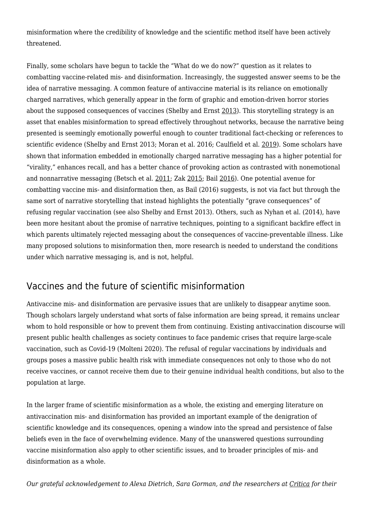misinformation where the credibility of knowledge and the scientific method itself have been actively threatened.

Finally, some scholars have begun to tackle the "What do we do now?" question as it relates to combatting vaccine-related mis- and disinformation. Increasingly, the suggested answer seems to be the idea of narrative messaging. A common feature of antivaccine material is its reliance on emotionally charged narratives, which generally appear in the form of graphic and emotion-driven horror stories about the supposed consequences of vaccines (Shelby and Ernst [2013\)](https://mediawell.ssrc.org/citation/story-and-science-how-providers-and-parents-can-utilize-storytelling-to-combat-anti-vaccine-misinformation/). This storytelling strategy is an asset that enables misinformation to spread effectively throughout networks, because the narrative being presented is seemingly emotionally powerful enough to counter traditional fact-checking or references to scientific evidence (Shelby and Ernst 2013; Moran et al. 2016; Caulfield et al. [2019\)](https://mediawell.ssrc.org/citation/health-misinformation-and-the-power-of-narrative-messaging-in-the-public-sphere/). Some scholars have shown that information embedded in emotionally charged narrative messaging has a higher potential for "virality," enhances recall, and has a better chance of provoking action as contrasted with nonemotional and nonnarrative messaging (Betsch et al. [2011;](https://mediawell.ssrc.org/citation/the-influence-of-narrative-v-statistical-information-on-perceiving-vaccination-risks/) Zak [2015;](https://mediawell.ssrc.org/citation/why-inspiring-stories-make-us-react-the-neuroscience-of-narrative/) Bail [2016\)](https://mediawell.ssrc.org/citation/emotional-feedback-and-the-viral-spread-of-social-media-messages-about-autism-spectrum-disorders/). One potential avenue for combatting vaccine mis- and disinformation then, as Bail (2016) suggests, is not via fact but through the same sort of narrative storytelling that instead highlights the potentially "grave consequences" of refusing regular vaccination (see also Shelby and Ernst 2013). Others, such as Nyhan et al. (2014), have been more hesitant about the promise of narrative techniques, pointing to a significant backfire effect in which parents ultimately rejected messaging about the consequences of vaccine-preventable illness. Like many proposed solutions to misinformation then, more research is needed to understand the conditions under which narrative messaging is, and is not, helpful.

#### Vaccines and the future of scientific misinformation

Antivaccine mis- and disinformation are pervasive issues that are unlikely to disappear anytime soon. Though scholars largely understand what sorts of false information are being spread, it remains unclear whom to hold responsible or how to prevent them from continuing. Existing antivaccination discourse will present public health challenges as society continues to face pandemic crises that require large-scale vaccination, such as Covid-19 (Molteni 2020). The refusal of regular vaccinations by individuals and groups poses a massive public health risk with immediate consequences not only to those who do not receive vaccines, or cannot receive them due to their genuine individual health conditions, but also to the population at large.

In the larger frame of scientific misinformation as a whole, the existing and emerging literature on antivaccination mis- and disinformation has provided an important example of the denigration of scientific knowledge and its consequences, opening a window into the spread and persistence of false beliefs even in the face of overwhelming evidence. Many of the unanswered questions surrounding vaccine misinformation also apply to other scientific issues, and to broader principles of mis- and disinformation as a whole.

*Our grateful acknowledgement to Alexa Dietrich, Sara Gorman, and the researchers at [Critica](https://www.criticascience.org) for their*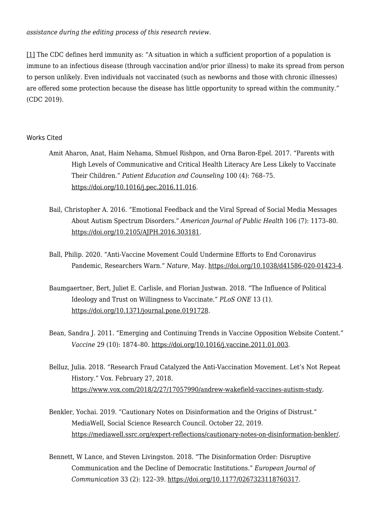*assistance during the editing process of this research review.* 

[\[1\]](https://mediawell.ssrc.org/applewebdata://25930FC0-FF80-4577-AD38-ADABA883592A#_ftnref1) The CDC defines herd immunity as: "A situation in which a sufficient proportion of a population is immune to an infectious disease (through vaccination and/or prior illness) to make its spread from person to person unlikely. Even individuals not vaccinated (such as newborns and those with chronic illnesses) are offered some protection because the disease has little opportunity to spread within the community." (CDC 2019).

#### Works Cited

- Amit Aharon, Anat, Haim Nehama, Shmuel Rishpon, and Orna Baron-Epel. 2017. "Parents with High Levels of Communicative and Critical Health Literacy Are Less Likely to Vaccinate Their Children." *Patient Education and Counseling* 100 (4): 768–75. [https://doi.org/10.1016/j.pec.2016.11.016.](https://doi.org/10.1016/j.pec.2016.11.016)
- Bail, Christopher A. 2016. "Emotional Feedback and the Viral Spread of Social Media Messages About Autism Spectrum Disorders." *American Journal of Public Health* 106 (7): 1173–80. <https://doi.org/10.2105/AJPH.2016.303181>.
- Ball, Philip. 2020. "Anti-Vaccine Movement Could Undermine Efforts to End Coronavirus Pandemic, Researchers Warn." *Nature*, May. [https://doi.org/10.1038/d41586-020-01423-4.](https://doi.org/10.1038/d41586-020-01423-4)
- Baumgaertner, Bert, Juliet E. Carlisle, and Florian Justwan. 2018. "The Influence of Political Ideology and Trust on Willingness to Vaccinate." *PLoS ONE* 13 (1). <https://doi.org/10.1371/journal.pone.0191728>.
- Bean, Sandra J. 2011. "Emerging and Continuing Trends in Vaccine Opposition Website Content." *Vaccine* 29 (10): 1874–80. <https://doi.org/10.1016/j.vaccine.2011.01.003>.
- Belluz, Julia. 2018. "Research Fraud Catalyzed the Anti-Vaccination Movement. Let's Not Repeat History." Vox. February 27, 2018. [https://www.vox.com/2018/2/27/17057990/andrew-wakefield-vaccines-autism-study.](https://www.vox.com/2018/2/27/17057990/andrew-wakefield-vaccines-autism-study)
- Benkler, Yochai. 2019. "Cautionary Notes on Disinformation and the Origins of Distrust." MediaWell, Social Science Research Council. October 22, 2019. [https://mediawell.ssrc.org/expert-reflections/cautionary-notes-on-disinformation-benkler/.](https://mediawell.ssrc.org/expert-reflections/cautionary-notes-on-disinformation-benkler/)
- Bennett, W Lance, and Steven Livingston. 2018. "The Disinformation Order: Disruptive Communication and the Decline of Democratic Institutions." *European Journal of Communication* 33 (2): 122–39.<https://doi.org/10.1177/0267323118760317>.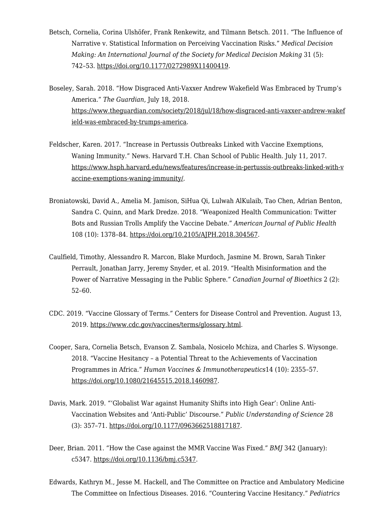- Betsch, Cornelia, Corina Ulshöfer, Frank Renkewitz, and Tilmann Betsch. 2011. "The Influence of Narrative v. Statistical Information on Perceiving Vaccination Risks." *Medical Decision Making: An International Journal of the Society for Medical Decision Making* 31 (5): 742–53. [https://doi.org/10.1177/0272989X11400419.](https://doi.org/10.1177/0272989X11400419)
- Boseley, Sarah. 2018. "How Disgraced Anti-Vaxxer Andrew Wakefield Was Embraced by Trump's America." *The Guardian*, July 18, 2018. [https://www.theguardian.com/society/2018/jul/18/how-disgraced-anti-vaxxer-andrew-wakef](https://www.theguardian.com/society/2018/jul/18/how-disgraced-anti-vaxxer-andrew-wakefield-was-embraced-by-trumps-america) [ield-was-embraced-by-trumps-america.](https://www.theguardian.com/society/2018/jul/18/how-disgraced-anti-vaxxer-andrew-wakefield-was-embraced-by-trumps-america)
- Feldscher, Karen. 2017. "Increase in Pertussis Outbreaks Linked with Vaccine Exemptions, Waning Immunity." News. Harvard T.H. Chan School of Public Health. July 11, 2017. [https://www.hsph.harvard.edu/news/features/increase-in-pertussis-outbreaks-linked-with-v](https://www.hsph.harvard.edu/news/features/increase-in-pertussis-outbreaks-linked-with-vaccine-exemptions-waning-immunity/) [accine-exemptions-waning-immunity/](https://www.hsph.harvard.edu/news/features/increase-in-pertussis-outbreaks-linked-with-vaccine-exemptions-waning-immunity/).
- Broniatowski, David A., Amelia M. Jamison, SiHua Qi, Lulwah AlKulaib, Tao Chen, Adrian Benton, Sandra C. Quinn, and Mark Dredze. 2018. "Weaponized Health Communication: Twitter Bots and Russian Trolls Amplify the Vaccine Debate." *American Journal of Public Health* 108 (10): 1378–84. [https://doi.org/10.2105/AJPH.2018.304567.](https://doi.org/10.2105/AJPH.2018.304567)
- Caulfield, Timothy, Alessandro R. Marcon, Blake Murdoch, Jasmine M. Brown, Sarah Tinker Perrault, Jonathan Jarry, Jeremy Snyder, et al. 2019. "Health Misinformation and the Power of Narrative Messaging in the Public Sphere." *Canadian Journal of Bioethics* 2 (2): 52–60.
- CDC. 2019. "Vaccine Glossary of Terms." Centers for Disease Control and Prevention. August 13, 2019. [https://www.cdc.gov/vaccines/terms/glossary.html.](https://www.cdc.gov/vaccines/terms/glossary.html)
- Cooper, Sara, Cornelia Betsch, Evanson Z. Sambala, Nosicelo Mchiza, and Charles S. Wiysonge. 2018. "Vaccine Hesitancy – a Potential Threat to the Achievements of Vaccination Programmes in Africa." *Human Vaccines & Immunotherapeutics*14 (10): 2355–57. <https://doi.org/10.1080/21645515.2018.1460987>.
- Davis, Mark. 2019. "'Globalist War against Humanity Shifts into High Gear': Online Anti-Vaccination Websites and 'Anti-Public' Discourse." *Public Understanding of Science* 28 (3): 357–71. <https://doi.org/10.1177/0963662518817187>.
- Deer, Brian. 2011. "How the Case against the MMR Vaccine Was Fixed." *BMJ* 342 (January): c5347. [https://doi.org/10.1136/bmj.c5347.](https://doi.org/10.1136/bmj.c5347)
- Edwards, Kathryn M., Jesse M. Hackell, and The Committee on Practice and Ambulatory Medicine The Committee on Infectious Diseases. 2016. "Countering Vaccine Hesitancy." *Pediatrics*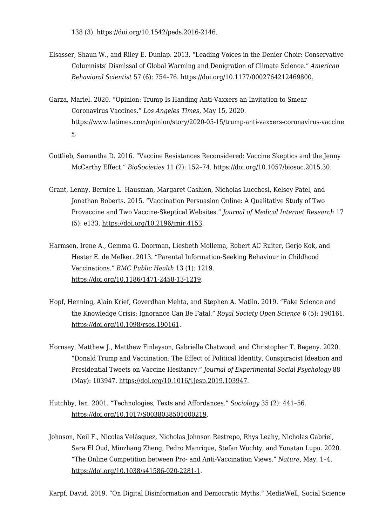- Elsasser, Shaun W., and Riley E. Dunlap. 2013. "Leading Voices in the Denier Choir: Conservative Columnists' Dismissal of Global Warming and Denigration of Climate Science." *American Behavioral Scientist* 57 (6): 754–76. [https://doi.org/10.1177/0002764212469800.](https://doi.org/10.1177/0002764212469800)
- Garza, Mariel. 2020. "Opinion: Trump Is Handing Anti-Vaxxers an Invitation to Smear Coronavirus Vaccines." *Los Angeles Times*, May 15, 2020. [https://www.latimes.com/opinion/story/2020-05-15/trump-anti-vaxxers-coronavirus-vaccine](https://www.latimes.com/opinion/story/2020-05-15/trump-anti-vaxxers-coronavirus-vaccines) [s](https://www.latimes.com/opinion/story/2020-05-15/trump-anti-vaxxers-coronavirus-vaccines).
- Gottlieb, Samantha D. 2016. "Vaccine Resistances Reconsidered: Vaccine Skeptics and the Jenny McCarthy Effect." *BioSocieties* 11 (2): 152–74. [https://doi.org/10.1057/biosoc.2015.30.](https://doi.org/10.1057/biosoc.2015.30)
- Grant, Lenny, Bernice L. Hausman, Margaret Cashion, Nicholas Lucchesi, Kelsey Patel, and Jonathan Roberts. 2015. "Vaccination Persuasion Online: A Qualitative Study of Two Provaccine and Two Vaccine-Skeptical Websites." *Journal of Medical Internet Research* 17 (5): e133. [https://doi.org/10.2196/jmir.4153.](https://doi.org/10.2196/jmir.4153)
- Harmsen, Irene A., Gemma G. Doorman, Liesbeth Mollema, Robert AC Ruiter, Gerjo Kok, and Hester E. de Melker. 2013. "Parental Information-Seeking Behaviour in Childhood Vaccinations." *BMC Public Health* 13 (1): 1219. [https://doi.org/10.1186/1471-2458-13-1219.](https://doi.org/10.1186/1471-2458-13-1219)
- Hopf, Henning, Alain Krief, Goverdhan Mehta, and Stephen A. Matlin. 2019. "Fake Science and the Knowledge Crisis: Ignorance Can Be Fatal." *Royal Society Open Science* 6 (5): 190161. [https://doi.org/10.1098/rsos.190161.](https://doi.org/10.1098/rsos.190161)
- Hornsey, Matthew J., Matthew Finlayson, Gabrielle Chatwood, and Christopher T. Begeny. 2020. "Donald Trump and Vaccination: The Effect of Political Identity, Conspiracist Ideation and Presidential Tweets on Vaccine Hesitancy." *Journal of Experimental Social Psychology* 88 (May): 103947. [https://doi.org/10.1016/j.jesp.2019.103947.](https://doi.org/10.1016/j.jesp.2019.103947)
- Hutchby, Ian. 2001. "Technologies, Texts and Affordances." *Sociology* 35 (2): 441–56. [https://doi.org/10.1017/S0038038501000219.](https://doi.org/10.1017/S0038038501000219)
- Johnson, Neil F., Nicolas Velásquez, Nicholas Johnson Restrepo, Rhys Leahy, Nicholas Gabriel, Sara El Oud, Minzhang Zheng, Pedro Manrique, Stefan Wuchty, and Yonatan Lupu. 2020. "The Online Competition between Pro- and Anti-Vaccination Views." *Nature*, May, 1–4. [https://doi.org/10.1038/s41586-020-2281-1.](https://doi.org/10.1038/s41586-020-2281-1)

Karpf, David. 2019. "On Digital Disinformation and Democratic Myths." MediaWell, Social Science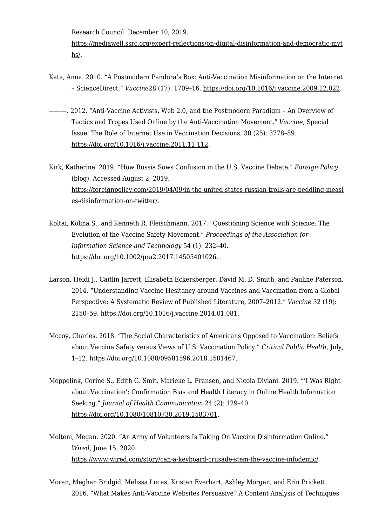Research Council. December 10, 2019.

[https://mediawell.ssrc.org/expert-reflections/on-digital-disinformation-and-democratic-myt](https://mediawell.ssrc.org/expert-reflections/on-digital-disinformation-and-democratic-myths/) [hs/.](https://mediawell.ssrc.org/expert-reflections/on-digital-disinformation-and-democratic-myths/)

- Kata, Anna. 2010. "A Postmodern Pandora's Box: Anti-Vaccination Misinformation on the Internet – ScienceDirect." *Vaccine*28 (17): 1709–16.<https://doi.org/10.1016/j.vaccine.2009.12.022>.
- ———. 2012. "Anti-Vaccine Activists, Web 2.0, and the Postmodern Paradigm An Overview of Tactics and Tropes Used Online by the Anti-Vaccination Movement." *Vaccine*, Special Issue: The Role of Internet Use in Vaccination Decisions, 30 (25): 3778–89. <https://doi.org/10.1016/j.vaccine.2011.11.112>.
- Kirk, Katherine. 2019. "How Russia Sows Confusion in the U.S. Vaccine Debate." *Foreign Policy* (blog). Accessed August 2, 2019. [https://foreignpolicy.com/2019/04/09/in-the-united-states-russian-trolls-are-peddling-measl](https://foreignpolicy.com/2019/04/09/in-the-united-states-russian-trolls-are-peddling-measles-disinformation-on-twitter/) [es-disinformation-on-twitter/.](https://foreignpolicy.com/2019/04/09/in-the-united-states-russian-trolls-are-peddling-measles-disinformation-on-twitter/)
- Koltai, Kolina S., and Kenneth R. Fleischmann. 2017. "Questioning Science with Science: The Evolution of the Vaccine Safety Movement." *Proceedings of the Association for Information Science and Technology* 54 (1): 232–40. <https://doi.org/10.1002/pra2.2017.14505401026>.
- Larson, Heidi J., Caitlin Jarrett, Elisabeth Eckersberger, David M. D. Smith, and Pauline Paterson. 2014. "Understanding Vaccine Hesitancy around Vaccines and Vaccination from a Global Perspective: A Systematic Review of Published Literature, 2007–2012." *Vaccine* 32 (19): 2150–59.<https://doi.org/10.1016/j.vaccine.2014.01.081>.
- Mccoy, Charles. 2018. "The Social Characteristics of Americans Opposed to Vaccination: Beliefs about Vaccine Safety versus Views of U.S. Vaccination Policy." *Critical Public Health*, July, 1–12. [https://doi.org/10.1080/09581596.2018.1501467.](https://doi.org/10.1080/09581596.2018.1501467)
- Meppelink, Corine S., Edith G. Smit, Marieke L. Fransen, and Nicola Diviani. 2019. "'I Was Right about Vaccination': Confirmation Bias and Health Literacy in Online Health Information Seeking." *Journal of Health Communication* 24 (2): 129–40. <https://doi.org/10.1080/10810730.2019.1583701>.
- Molteni, Megan. 2020. "An Army of Volunteers Is Taking On Vaccine Disinformation Online." *Wired,* June 15, 2020. <https://www.wired.com/story/can-a-keyboard-crusade-stem-the-vaccine-infodemic/>.
- Moran, Meghan Bridgid, Melissa Lucas, Kristen Everhart, Ashley Morgan, and Erin Prickett. 2016. "What Makes Anti-Vaccine Websites Persuasive? A Content Analysis of Techniques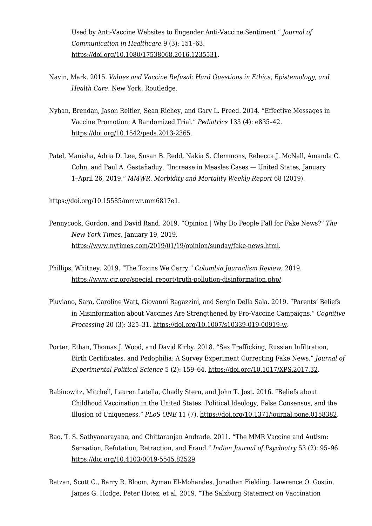Used by Anti-Vaccine Websites to Engender Anti-Vaccine Sentiment." *Journal of Communication in Healthcare* 9 (3): 151–63. <https://doi.org/10.1080/17538068.2016.1235531>.

- Navin, Mark. 2015. *Values and Vaccine Refusal: Hard Questions in Ethics, Epistemology, and Health Care*. New York: Routledge.
- Nyhan, Brendan, Jason Reifler, Sean Richey, and Gary L. Freed. 2014. "Effective Messages in Vaccine Promotion: A Randomized Trial." *Pediatrics* 133 (4): e835–42. [https://doi.org/10.1542/peds.2013-2365.](https://doi.org/10.1542/peds.2013-2365)
- Patel, Manisha, Adria D. Lee, Susan B. Redd, Nakia S. Clemmons, Rebecca J. McNall, Amanda C. Cohn, and Paul A. Gastañaduy. "Increase in Measles Cases — United States, January 1–April 26, 2019." *MMWR. Morbidity and Mortality Weekly Report* 68 (2019).

[https://doi.org/10.15585/mmwr.mm6817e1](https://slack-redir.net/link?url=https%3A%2F%2Fdoi.org%2F10.15585%2Fmmwr.mm6817e1).

- Pennycook, Gordon, and David Rand. 2019. "Opinion | Why Do People Fall for Fake News?" *The New York Times*, January 19, 2019. <https://www.nytimes.com/2019/01/19/opinion/sunday/fake-news.html>.
- Phillips, Whitney. 2019. "The Toxins We Carry." *Columbia Journalism Review*, 2019. [https://www.cjr.org/special\\_report/truth-pollution-disinformation.php/.](https://www.cjr.org/special_report/truth-pollution-disinformation.php/)
- Pluviano, Sara, Caroline Watt, Giovanni Ragazzini, and Sergio Della Sala. 2019. "Parents' Beliefs in Misinformation about Vaccines Are Strengthened by Pro-Vaccine Campaigns." *Cognitive Processing* 20 (3): 325–31.<https://doi.org/10.1007/s10339-019-00919-w>.
- Porter, Ethan, Thomas J. Wood, and David Kirby. 2018. "Sex Trafficking, Russian Infiltration, Birth Certificates, and Pedophilia: A Survey Experiment Correcting Fake News." *Journal of Experimental Political Science* 5 (2): 159–64. [https://doi.org/10.1017/XPS.2017.32.](https://doi.org/10.1017/XPS.2017.32)
- Rabinowitz, Mitchell, Lauren Latella, Chadly Stern, and John T. Jost. 2016. "Beliefs about Childhood Vaccination in the United States: Political Ideology, False Consensus, and the Illusion of Uniqueness." *PLoS ONE* 11 (7).<https://doi.org/10.1371/journal.pone.0158382>.
- Rao, T. S. Sathyanarayana, and Chittaranjan Andrade. 2011. "The MMR Vaccine and Autism: Sensation, Refutation, Retraction, and Fraud." *Indian Journal of Psychiatry* 53 (2): 95–96. <https://doi.org/10.4103/0019-5545.82529>.
- Ratzan, Scott C., Barry R. Bloom, Ayman El-Mohandes, Jonathan Fielding, Lawrence O. Gostin, James G. Hodge, Peter Hotez, et al. 2019. "The Salzburg Statement on Vaccination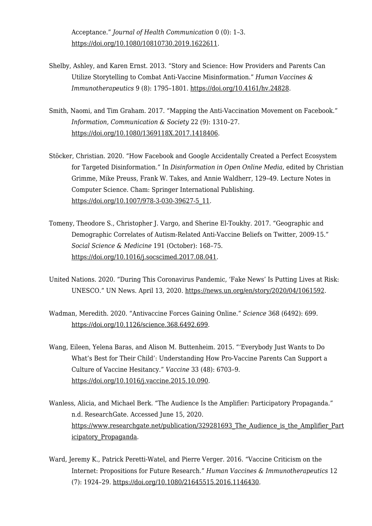Acceptance." *Journal of Health Communication* 0 (0): 1–3. <https://doi.org/10.1080/10810730.2019.1622611>.

- Shelby, Ashley, and Karen Ernst. 2013. "Story and Science: How Providers and Parents Can Utilize Storytelling to Combat Anti-Vaccine Misinformation." *Human Vaccines & Immunotherapeutics* 9 (8): 1795–1801. [https://doi.org/10.4161/hv.24828.](https://doi.org/10.4161/hv.24828)
- Smith, Naomi, and Tim Graham. 2017. "Mapping the Anti-Vaccination Movement on Facebook." *Information, Communication & Society* 22 (9): 1310–27. [https://doi.org/10.1080/1369118X.2017.1418406.](https://doi.org/10.1080/1369118X.2017.1418406)
- Stöcker, Christian. 2020. "How Facebook and Google Accidentally Created a Perfect Ecosystem for Targeted Disinformation." In *Disinformation in Open Online Media*, edited by Christian Grimme, Mike Preuss, Frank W. Takes, and Annie Waldherr, 129–49. Lecture Notes in Computer Science. Cham: Springer International Publishing. [https://doi.org/10.1007/978-3-030-39627-5\\_11.](https://doi.org/10.1007/978-3-030-39627-5_11)
- Tomeny, Theodore S., Christopher J. Vargo, and Sherine El-Toukhy. 2017. "Geographic and Demographic Correlates of Autism-Related Anti-Vaccine Beliefs on Twitter, 2009-15." *Social Science & Medicine* 191 (October): 168–75. [https://doi.org/10.1016/j.socscimed.2017.08.041.](https://doi.org/10.1016/j.socscimed.2017.08.041)
- United Nations. 2020. "During This Coronavirus Pandemic, 'Fake News' Is Putting Lives at Risk: UNESCO." UN News. April 13, 2020.<https://news.un.org/en/story/2020/04/1061592>.
- Wadman, Meredith. 2020. "Antivaccine Forces Gaining Online." *Science* 368 (6492): 699. [https://doi.org/10.1126/science.368.6492.699.](https://doi.org/10.1126/science.368.6492.699)
- Wang, Eileen, Yelena Baras, and Alison M. Buttenheim. 2015. "'Everybody Just Wants to Do What's Best for Their Child': Understanding How Pro-Vaccine Parents Can Support a Culture of Vaccine Hesitancy." *Vaccine* 33 (48): 6703–9. <https://doi.org/10.1016/j.vaccine.2015.10.090>.
- Wanless, Alicia, and Michael Berk. "The Audience Is the Amplifier: Participatory Propaganda." n.d. ResearchGate. Accessed June 15, 2020. https://www.researchgate.net/publication/329281693 The Audience is the Amplifier Part [icipatory\\_Propaganda](https://www.researchgate.net/publication/329281693_The_Audience_is_the_Amplifier_Participatory_Propaganda).
- Ward, Jeremy K., Patrick Peretti-Watel, and Pierre Verger. 2016. "Vaccine Criticism on the Internet: Propositions for Future Research." *Human Vaccines & Immunotherapeutics* 12 (7): 1924–29. <https://doi.org/10.1080/21645515.2016.1146430>.